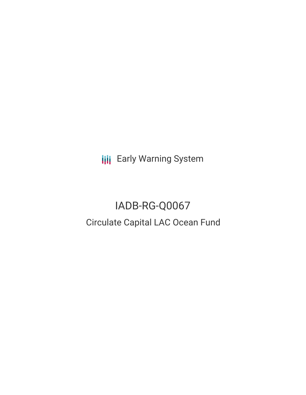**III** Early Warning System

# IADB-RG-Q0067 Circulate Capital LAC Ocean Fund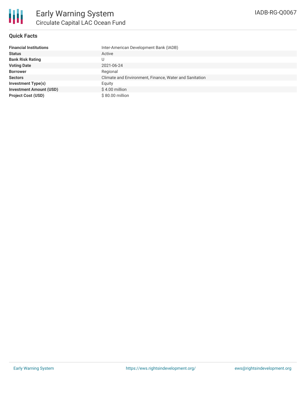### **Quick Facts**

| <b>Financial Institutions</b>  | Inter-American Development Bank (IADB)                 |
|--------------------------------|--------------------------------------------------------|
| <b>Status</b>                  | Active                                                 |
| <b>Bank Risk Rating</b>        | U                                                      |
| <b>Voting Date</b>             | 2021-06-24                                             |
| <b>Borrower</b>                | Regional                                               |
| <b>Sectors</b>                 | Climate and Environment, Finance, Water and Sanitation |
| <b>Investment Type(s)</b>      | Equity                                                 |
| <b>Investment Amount (USD)</b> | \$4.00 million                                         |
| <b>Project Cost (USD)</b>      | \$80.00 million                                        |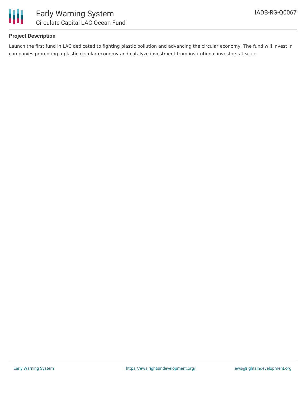

## **Project Description**

Launch the first fund in LAC dedicated to fighting plastic pollution and advancing the circular economy. The fund will invest in companies promoting a plastic circular economy and catalyze investment from institutional investors at scale.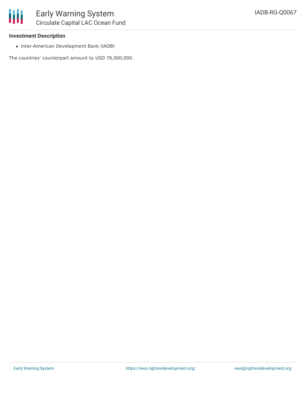

### **Investment Description**

• Inter-American Development Bank (IADB)

The countries' counterpart amount to USD 76,000,000.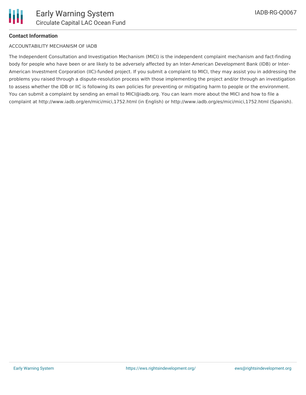

## **Contact Information**

#### ACCOUNTABILITY MECHANISM OF IADB

The Independent Consultation and Investigation Mechanism (MICI) is the independent complaint mechanism and fact-finding body for people who have been or are likely to be adversely affected by an Inter-American Development Bank (IDB) or Inter-American Investment Corporation (IIC)-funded project. If you submit a complaint to MICI, they may assist you in addressing the problems you raised through a dispute-resolution process with those implementing the project and/or through an investigation to assess whether the IDB or IIC is following its own policies for preventing or mitigating harm to people or the environment. You can submit a complaint by sending an email to MICI@iadb.org. You can learn more about the MICI and how to file a complaint at http://www.iadb.org/en/mici/mici,1752.html (in English) or http://www.iadb.org/es/mici/mici,1752.html (Spanish).